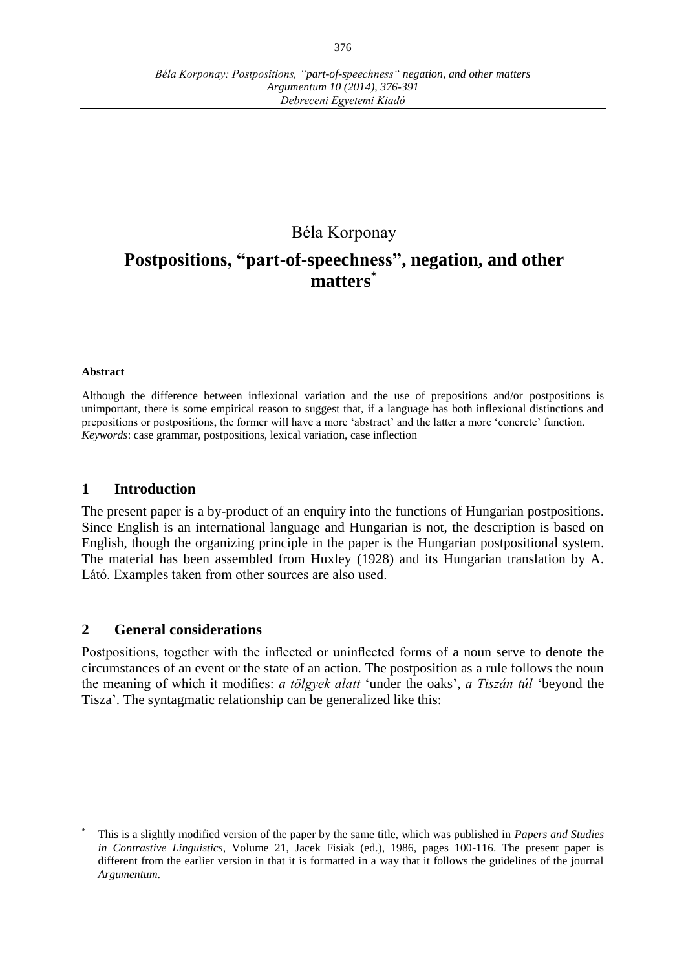# Béla Korponay

# **Postpositions, "part-of-speechness", negation, and other matters \***

#### **Abstract**

 $\overline{a}$ 

Although the difference between inflexional variation and the use of prepositions and/or postpositions is unimportant, there is some empirical reason to suggest that, if a language has both inflexional distinctions and prepositions or postpositions, the former will have a more 'abstract' and the latter a more 'concrete' function. *Keywords*: case grammar, postpositions, lexical variation, case inflection

#### **1 Introduction**

The present paper is a by-product of an enquiry into the functions of Hungarian postpositions. Since English is an international language and Hungarian is not, the description is based on English, though the organizing principle in the paper is the Hungarian postpositional system. The material has been assembled from Huxley (1928) and its Hungarian translation by A. Látó. Examples taken from other sources are also used.

#### **2 General considerations**

Postpositions, together with the inflected or uninflected forms of a noun serve to denote the circumstances of an event or the state of an action. The postposition as a rule follows the noun the meaning of which it modifies: *a tölgyek alatt* 'under the oaks', *a Tiszán túl* 'beyond the Tisza'. The syntagmatic relationship can be generalized like this:

<sup>\*</sup> This is a slightly modified version of the paper by the same title, which was published in *Papers and Studies in Contrastive Linguistics*, Volume 21, Jacek Fisiak (ed.), 1986, pages 100-116. The present paper is different from the earlier version in that it is formatted in a way that it follows the guidelines of the journal *Argumentum*.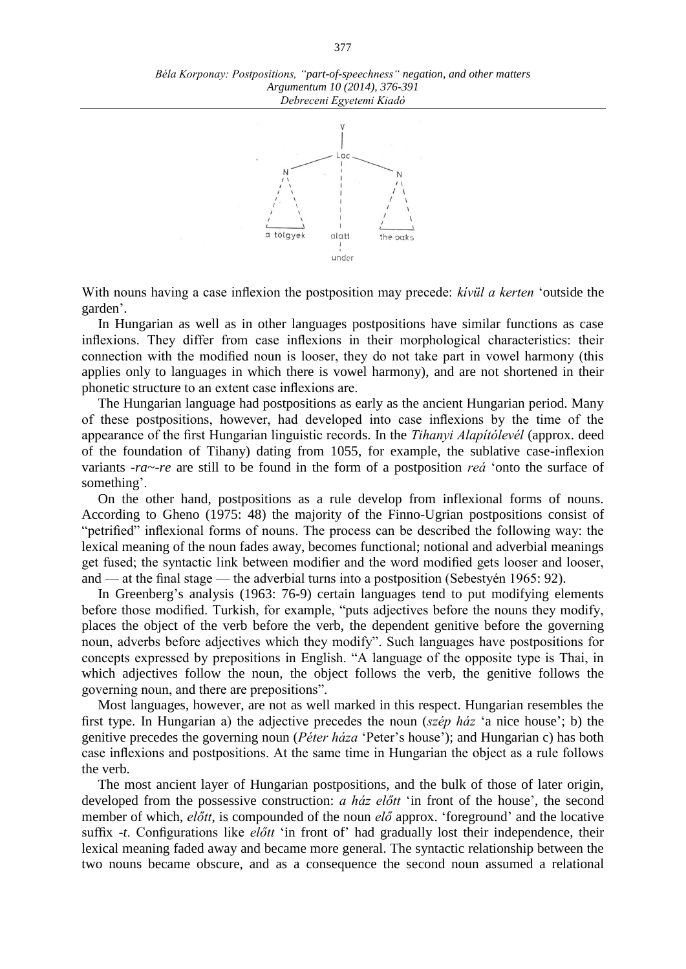

With nouns having a case inflexion the postposition may precede: *kívül a kerten* 'outside the garden'.

In Hungarian as well as in other languages postpositions have similar functions as case inflexions. They differ from case inflexions in their morphological characteristics: their connection with the modified noun is looser, they do not take part in vowel harmony (this applies only to languages in which there is vowel harmony), and are not shortened in their phonetic structure to an extent case inflexions are.

The Hungarian language had postpositions as early as the ancient Hungarian period. Many of these postpositions, however, had developed into case inflexions by the time of the appearance of the first Hungarian linguistic records. In the *Tihanyi Alapítólevél* (approx. deed of the foundation of Tihany) dating from 1055, for example, the sublative case-inflexion variants -*ra*~-*re* are still to be found in the form of a postposition *reá* 'onto the surface of something'.

On the other hand, postpositions as a rule develop from inflexional forms of nouns. According to Gheno (1975: 48) the majority of the Finno-Ugrian postpositions consist of "petrified" inflexional forms of nouns. The process can be described the following way: the lexical meaning of the noun fades away, becomes functional; notional and adverbial meanings get fused; the syntactic link between modifier and the word modified gets looser and looser, and — at the final stage — the adverbial turns into a postposition (Sebestyén 1965: 92).

In Greenberg's analysis (1963: 76-9) certain languages tend to put modifying elements before those modified. Turkish, for example, "puts adjectives before the nouns they modify, places the object of the verb before the verb, the dependent genitive before the governing noun, adverbs before adjectives which they modify". Such languages have postpositions for concepts expressed by prepositions in English. "A language of the opposite type is Thai, in which adjectives follow the noun, the object follows the verb, the genitive follows the governing noun, and there are prepositions".

Most languages, however, are not as well marked in this respect. Hungarian resembles the first type. In Hungarian a) the adjective precedes the noun (*szép ház* 'a nice house'; b) the genitive precedes the governing noun (*Péter háza* 'Peter's house'); and Hungarian c) has both case inflexions and postpositions. At the same time in Hungarian the object as a rule follows the verb.

The most ancient layer of Hungarian postpositions, and the bulk of those of later origin, developed from the possessive construction: *a ház előtt* 'in front of the house', the second member of which, *előtt*, is compounded of the noun *elő* approx. 'foreground' and the locative suffix *-t*. Configurations like *előtt* 'in front of' had gradually lost their independence, their lexical meaning faded away and became more general. The syntactic relationship between the two nouns became obscure, and as a consequence the second noun assumed a relational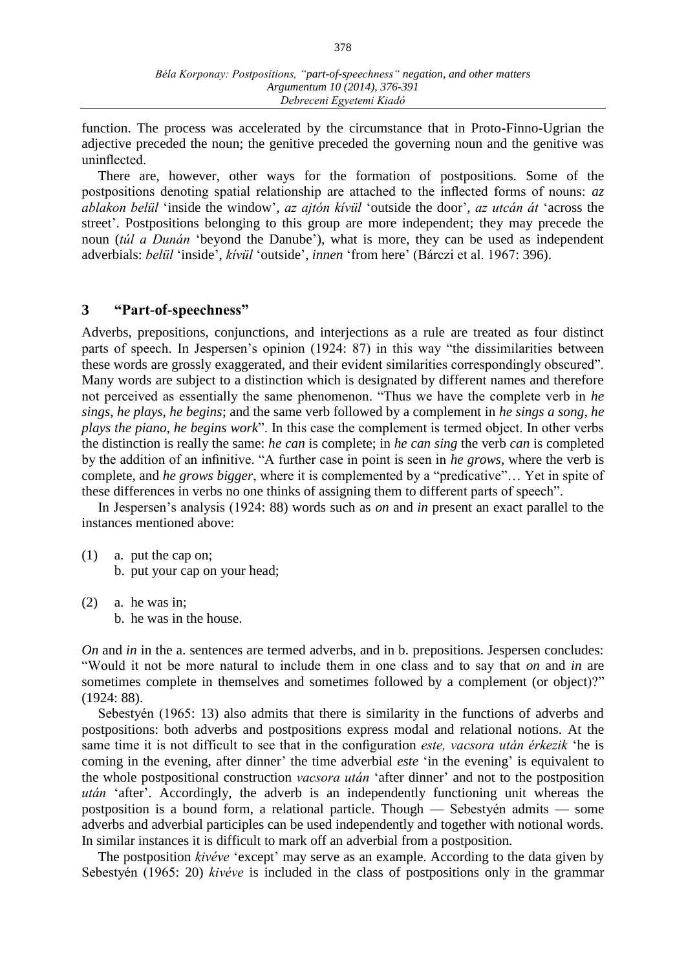function. The process was accelerated by the circumstance that in Proto-Finno-Ugrian the adjective preceded the noun; the genitive preceded the governing noun and the genitive was uninflected.

There are, however, other ways for the formation of postpositions. Some of the postpositions denoting spatial relationship are attached to the inflected forms of nouns: *az ablakon belül* 'inside the window', *az ajtón kívül* 'outside the door', *az utcán át* 'across the street'. Postpositions belonging to this group are more independent; they may precede the noun (*túl a Dunán* 'beyond the Danube'), what is more, they can be used as independent adverbials: *belül* 'inside', *kívül* 'outside', *innen* 'from here' (Bárczi et al. 1967: 396).

## **3 "Part-of-speechness"**

Adverbs, prepositions, conjunctions, and interjections as a rule are treated as four distinct parts of speech. In Jespersen's opinion (1924: 87) in this way "the dissimilarities between these words are grossly exaggerated, and their evident similarities correspondingly obscured". Many words are subject to a distinction which is designated by different names and therefore not perceived as essentially the same phenomenon. "Thus we have the complete verb in *he sings*, *he plays*, *he begins*; and the same verb followed by a complement in *he sings a song*, *he plays the piano*, *he begins work*". In this case the complement is termed object. In other verbs the distinction is really the same: *he can* is complete; in *he can sing* the verb *can* is completed by the addition of an infinitive. "A further case in point is seen in *he grows*, where the verb is complete, and *he grows bigger*, where it is complemented by a "predicative"… Yet in spite of these differences in verbs no one thinks of assigning them to different parts of speech".

In Jespersen's analysis (1924: 88) words such as *on* and *in* present an exact parallel to the instances mentioned above:

- (1) a. put the cap on; b. put your cap on your head;
- (2) a. he was in; b. he was in the house.

*On* and *in* in the a. sentences are termed adverbs, and in b. prepositions. Jespersen concludes: "Would it not be more natural to include them in one class and to say that *on* and *in* are sometimes complete in themselves and sometimes followed by a complement (or object)?" (1924: 88).

Sebestyén (1965: 13) also admits that there is similarity in the functions of adverbs and postpositions: both adverbs and postpositions express modal and relational notions. At the same time it is not difficult to see that in the configuration *este, vacsora után érkezik* 'he is coming in the evening, after dinner' the time adverbial *este* 'in the evening' is equivalent to the whole postpositional construction *vacsora után* 'after dinner' and not to the postposition *után* 'after'. Accordingly, the adverb is an independently functioning unit whereas the postposition is a bound form, a relational particle. Though — Sebestyén admits — some adverbs and adverbial participles can be used independently and together with notional words. In similar instances it is difficult to mark off an adverbial from a postposition.

The postposition *kivéve* 'except' may serve as an example. According to the data given by Sebestyén (1965: 20) *kivéve* is included in the class of postpositions only in the grammar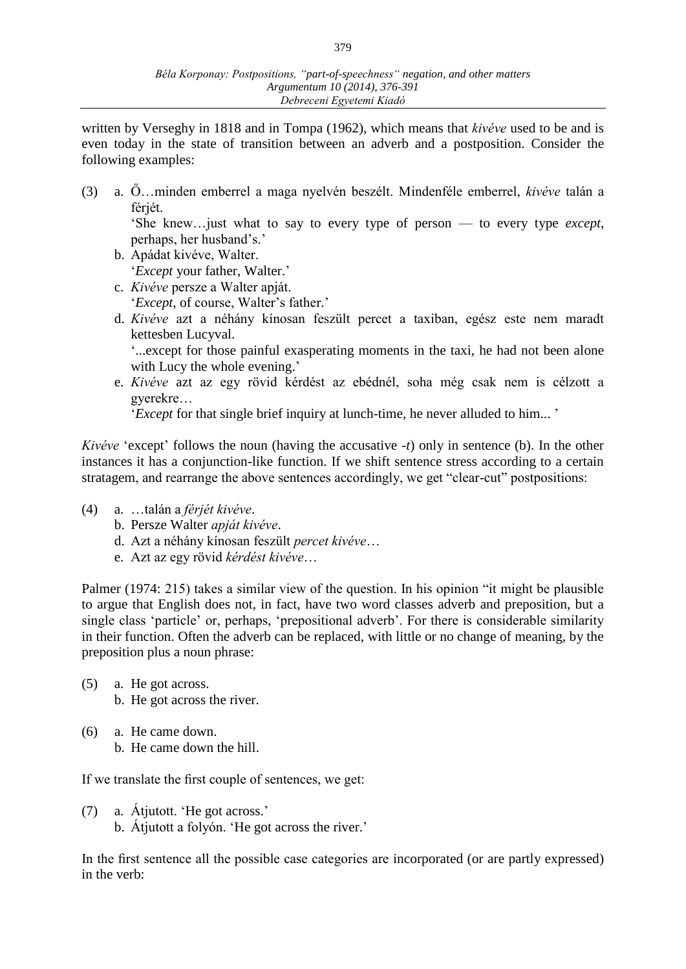written by Verseghy in 1818 and in Tompa (1962), which means that *kivéve* used to be and is even today in the state of transition between an adverb and a postposition. Consider the following examples:

(3) a. Ő…minden emberrel a maga nyelvén beszélt. Mindenféle emberrel, *kivéve* talán a férjét.

'She knew…just what to say to every type of person — to every type *except*, perhaps, her husband's.'

- b. Apádat kivéve, Walter. '*Except* your father, Walter.'
- c. *Kivéve* persze a Walter apját. '*Except*, of course, Walter's father.'
- d. *Kivéve* azt a néhány kínosan feszült percet a taxiban, egész este nem maradt kettesben Lucyval.

'...except for those painful exasperating moments in the taxi, he had not been alone with Lucy the whole evening.'

e. *Kivéve* azt az egy rövid kérdést az ebédnél, soha még csak nem is célzott a gyerekre…

'*Except* for that single brief inquiry at lunch-time, he never alluded to him... '

*Kivéve* 'except' follows the noun (having the accusative *-t*) only in sentence (b). In the other instances it has a conjunction-like function. If we shift sentence stress according to a certain stratagem, and rearrange the above sentences accordingly, we get "clear-cut" postpositions:

- (4) a. …talán a *férjét kivéve*.
	- b. Persze Walter *apját kivéve*.
	- d. Azt a néhány kínosan feszült *percet kivéve*…
	- e. Azt az egy rövid *kérdést kivéve*…

Palmer (1974: 215) takes a similar view of the question. In his opinion "it might be plausible to argue that English does not, in fact, have two word classes adverb and preposition, but a single class 'particle' or, perhaps, 'prepositional adverb'. For there is considerable similarity in their function. Often the adverb can be replaced, with little or no change of meaning, by the preposition plus a noun phrase:

- (5) a. He got across. b. He got across the river.
- (6) a. He came down. b. He came down the hill.

If we translate the first couple of sentences, we get:

(7) a. Átjutott. 'He got across.' b. Átjutott a folyón. 'He got across the river.'

In the first sentence all the possible case categories are incorporated (or are partly expressed) in the verb: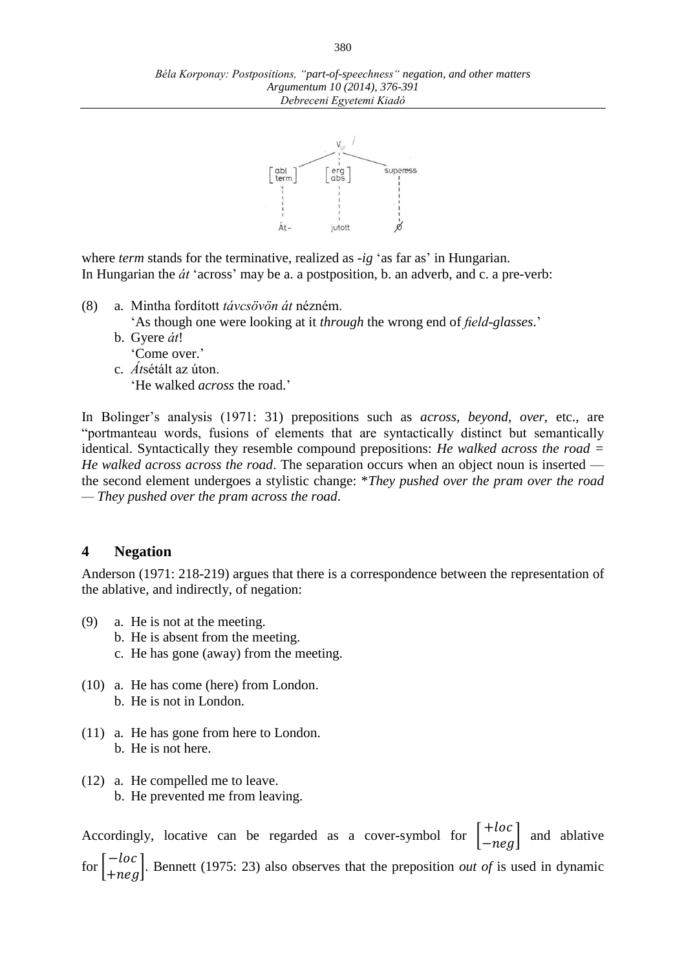

where *term* stands for the terminative, realized as *-ig* 'as far as' in Hungarian. In Hungarian the *át* 'across' may be a. a postposition, b. an adverb, and c. a pre-verb:

(8) a. Mintha fordított *távcsövön át* nézném.

'As though one were looking at it *through* the wrong end of *field-glasses*.'

- b. Gyere *át*!
	- 'Come over.'
- c. *Át*sétált az úton. 'He walked *across* the road.'

In Bolinger's analysis (1971: 31) prepositions such as *across*, *beyond*, *over*, etc., are "portmanteau words, fusions of elements that are syntactically distinct but semantically identical. Syntactically they resemble compound prepositions: *He walked across the road = He walked across across the road*. The separation occurs when an object noun is inserted the second element undergoes a stylistic change: \**They pushed over the pram over the road — They pushed over the pram across the road*.

## **4 Negation**

Anderson (1971: 218-219) argues that there is a correspondence between the representation of the ablative, and indirectly, of negation:

- (9) a. He is not at the meeting.
	- b. He is absent from the meeting.
	- c. He has gone (away) from the meeting.
- (10) a. He has come (here) from London. b. He is not in London.
- (11) a. He has gone from here to London. b. He is not here.
- (12) a. He compelled me to leave. b. He prevented me from leaving.

Accordingly, locative can be regarded as a cover-symbol for  $\begin{bmatrix} +\ln 1 & \ln 1 \\ \ln 1 & \ln 1 \end{bmatrix}$ and ablative for  $\begin{bmatrix} -\ln c \\ +\ln eg \end{bmatrix}$ . Bennett (1975: 23) also observes that the preposition *out of* is used in dynamic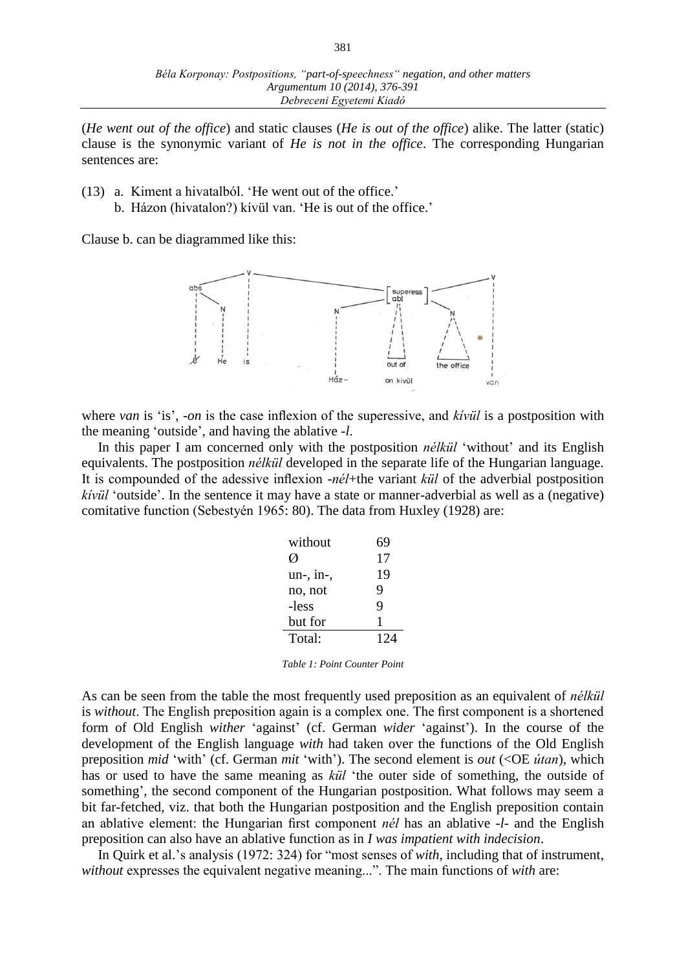(*He went out of the office*) and static clauses (*He is out of the office*) alike. The latter (static) clause is the synonymic variant of *He is not in the office*. The corresponding Hungarian sentences are:

- (13) a. Kiment a hivatalból. 'He went out of the office.' b. Házon (hivatalon?) kívül van. 'He is out of the office.'
	-

Clause b. can be diagrammed like this:



where *van* is 'is', *-on* is the case inflexion of the superessive, and *kívül* is a postposition with the meaning 'outside', and having the ablative *-l*.

In this paper I am concerned only with the postposition *nélkül* 'without' and its English equivalents. The postposition *nélkül* developed in the separate life of the Hungarian language. It is compounded of the adessive inflexion -*nél*+the variant *kül* of the adverbial postposition *kívül* 'outside'. In the sentence it may have a state or manner-adverbial as well as a (negative) comitative function (Sebestyén 1965: 80). The data from Huxley (1928) are:

| without     | 69  |
|-------------|-----|
|             | 17  |
| $un-, in-,$ | 19  |
| no, not     | 9   |
| -less       | 9   |
| but for     | 1   |
| Total:      | 124 |

*Table 1: Point Counter Point*

As can be seen from the table the most frequently used preposition as an equivalent of *nélkül* is *without*. The English preposition again is a complex one. The first component is a shortened form of Old English *wither* 'against' (cf. German *wider* 'against'). In the course of the development of the English language *with* had taken over the functions of the Old English preposition *mid* 'with' (cf. German *mit* 'with'). The second element is *out* (<OE *útan*), which has or used to have the same meaning as *kül* 'the outer side of something, the outside of something', the second component of the Hungarian postposition. What follows may seem a bit far-fetched, viz. that both the Hungarian postposition and the English preposition contain an ablative element: the Hungarian first component *nél* has an ablative -*l*- and the English preposition can also have an ablative function as in *I was impatient with indecision*.

In Quirk et al.'s analysis (1972: 324) for "most senses of *with*, including that of instrument, *without* expresses the equivalent negative meaning...". The main functions of *with* are: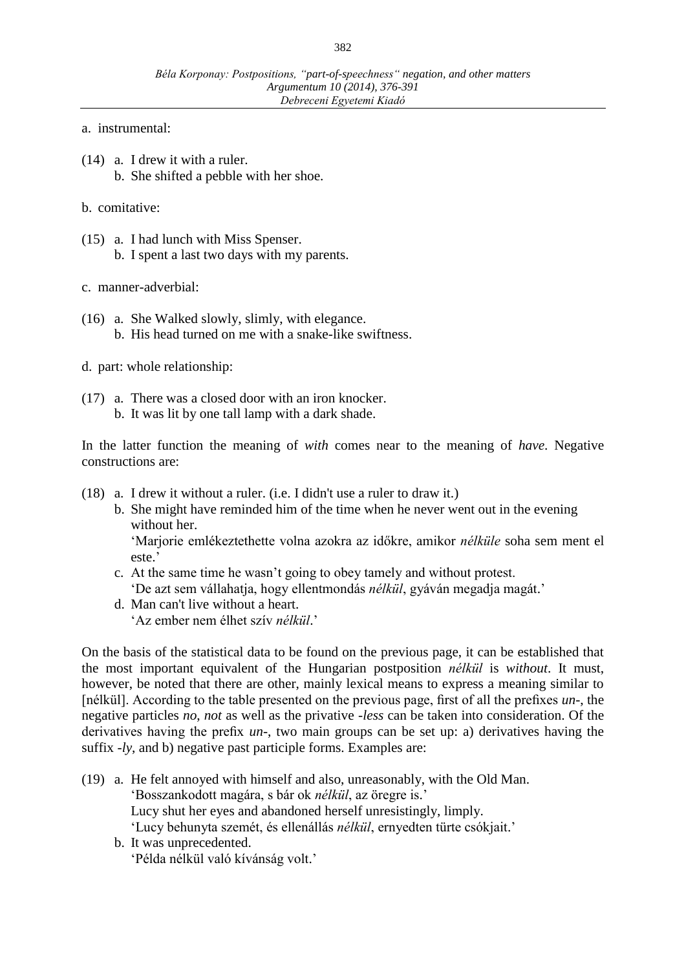- a. instrumental:
- (14) a. I drew it with a ruler. b. She shifted a pebble with her shoe.
- b. comitative:
- (15) a. I had lunch with Miss Spenser. b. I spent a last two days with my parents.
- c. manner-adverbial:
- (16) a. She Walked slowly, slimly, with elegance. b. His head turned on me with a snake-like swiftness.
- d. part: whole relationship:
- (17) a. There was a closed door with an iron knocker. b. It was lit by one tall lamp with a dark shade.

In the latter function the meaning of *with* comes near to the meaning of *have*. Negative constructions are:

- (18) a. I drew it without a ruler. (i.e. I didn't use a ruler to draw it.)
	- b. She might have reminded him of the time when he never went out in the evening without her.

'Marjorie emlékeztethette volna azokra az időkre, amikor *nélküle* soha sem ment el este.'

- c. At the same time he wasn't going to obey tamely and without protest. 'De azt sem vállahatja, hogy ellentmondás *nélkül*, gyáván megadja magát.'
- d. Man can't live without a heart. 'Az ember nem élhet szív *nélkül*.'

On the basis of the statistical data to be found on the previous page, it can be established that the most important equivalent of the Hungarian postposition *nélkül* is *without*. It must, however, be noted that there are other, mainly lexical means to express a meaning similar to [nélkül]. According to the table presented on the previous page, first of all the prefixes *un-*, the negative particles *no*, *not* as well as the privative -*less* can be taken into consideration. Of the derivatives having the prefix *un*-, two main groups can be set up: a) derivatives having the suffix -*ly*, and b) negative past participle forms. Examples are:

- (19) a. He felt annoyed with himself and also, unreasonably, with the Old Man. 'Bosszankodott magára, s bár ok *nélkül*, az öregre is.' Lucy shut her eyes and abandoned herself unresistingly, limply. 'Lucy behunyta szemét, és ellenállás *nélkül*, ernyedten türte csókjait.'
	- b. It was unprecedented. 'Példa nélkül való kívánság volt.'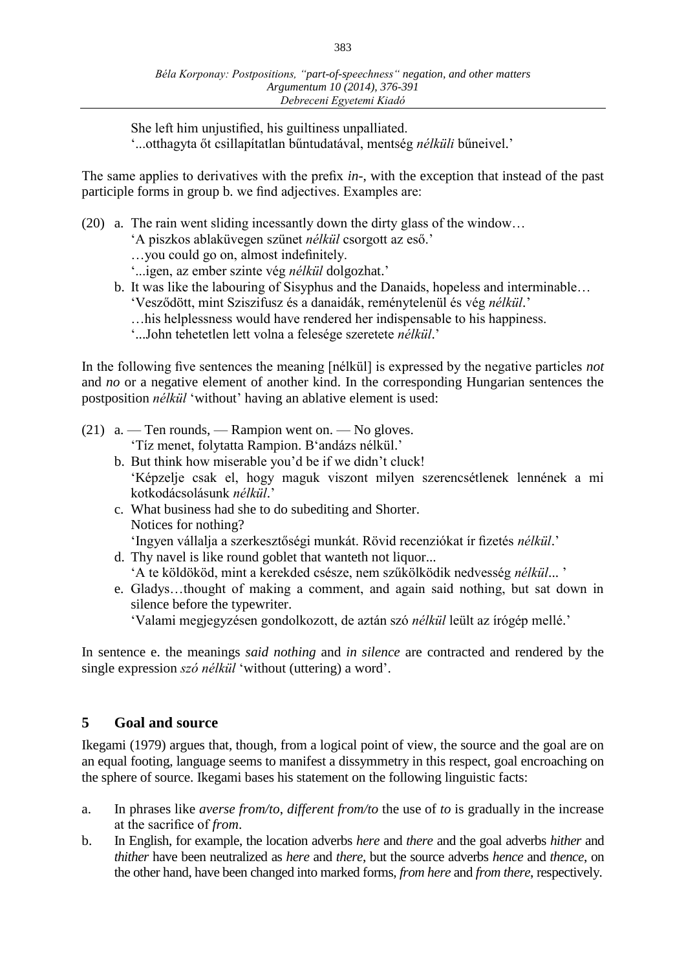She left him unjustified, his guiltiness unpalliated. '...otthagyta őt csillapítatlan bűntudatával, mentség *nélküli* bűneivel.'

The same applies to derivatives with the prefix *in*-, with the exception that instead of the past participle forms in group b. we find adjectives. Examples are:

- (20) a. The rain went sliding incessantly down the dirty glass of the window…
	- 'A piszkos ablaküvegen szünet *nélkül* csorgott az eső.'
	- …you could go on, almost indefinitely.
	- '...igen, az ember szinte vég *nélkül* dolgozhat.'
	- b. It was like the labouring of Sisyphus and the Danaids, hopeless and interminable…
		- 'Vesződött, mint Sziszifusz és a danaidák, reménytelenül és vég *nélkül*.'
		- …his helplessness would have rendered her indispensable to his happiness.
		- '...John tehetetlen lett volna a felesége szeretete *nélkül*.'

In the following five sentences the meaning [nélkül] is expressed by the negative particles *not* and *no* or a negative element of another kind. In the corresponding Hungarian sentences the postposition *nélkül* 'without' having an ablative element is used:

- (21)  $a.$  Ten rounds, Rampion went on. No gloves. 'Tíz menet, folytatta Rampion. B'andázs nélkül.'
	- b. But think how miserable you'd be if we didn't cluck! 'Képzelje csak el, hogy maguk viszont milyen szerencsétlenek lennének a mi kotkodácsolásunk *nélkül*.'
	- c. What business had she to do subediting and Shorter. Notices for nothing? 'Ingyen vállalja a szerkesztőségi munkát. Rövid recenziókat ír fizetés *nélkül*.'
	- d. Thy navel is like round goblet that wanteth not liquor... 'A te köldököd, mint a kerekded csésze, nem szűkölködik nedvesség *nélkül*... '
	- e. Gladys…thought of making a comment, and again said nothing, but sat down in silence before the typewriter.

'Valami megjegyzésen gondolkozott, de aztán szó *nélkül* leült az írógép mellé.'

In sentence e. the meanings *said nothing* and *in silence* are contracted and rendered by the single expression *szó nélkül* 'without (uttering) a word'.

## **5 Goal and source**

Ikegami (1979) argues that, though, from a logical point of view, the source and the goal are on an equal footing, language seems to manifest a dissymmetry in this respect, goal encroaching on the sphere of source. Ikegami bases his statement on the following linguistic facts:

- a. In phrases like *averse from/to*, *different from/to* the use of *to* is gradually in the increase at the sacrifice of *from*.
- b. In English, for example, the location adverbs *here* and *there* and the goal adverbs *hither* and *thither* have been neutralized as *here* and *there*, but the source adverbs *hence* and *thence*, on the other hand, have been changed into marked forms, *from here* and *from there*, respectively.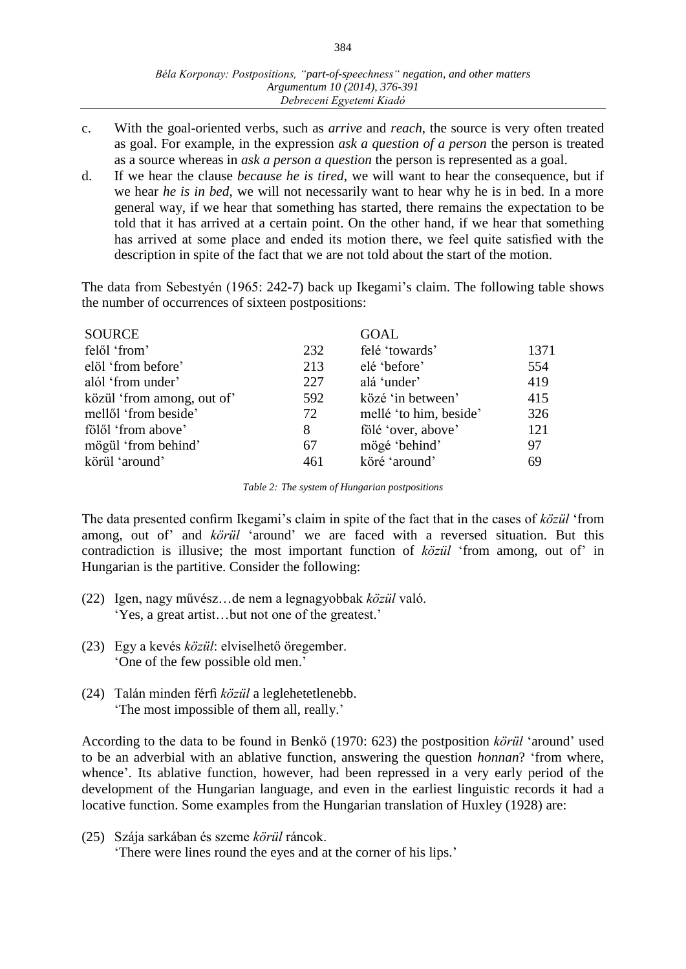- c. With the goal-oriented verbs, such as *arrive* and *reach*, the source is very often treated as goal. For example, in the expression *ask a question of a person* the person is treated as a source whereas in *ask a person a question* the person is represented as a goal.
- d. If we hear the clause *because he is tired*, we will want to hear the consequence, but if we hear *he is in bed*, we will not necessarily want to hear why he is in bed. In a more general way, if we hear that something has started, there remains the expectation to be told that it has arrived at a certain point. On the other hand, if we hear that something has arrived at some place and ended its motion there, we feel quite satisfied with the description in spite of the fact that we are not told about the start of the motion.

The data from Sebestyén (1965: 242-7) back up Ikegami's claim. The following table shows the number of occurrences of sixteen postpositions:

| <b>SOURCE</b>              |     | <b>GOAL</b>            |      |
|----------------------------|-----|------------------------|------|
| felől 'from'               | 232 | felé 'towards'         | 1371 |
| elöl 'from before'         | 213 | elé 'before'           | 554  |
| alól 'from under'          | 227 | alá 'under'            | 419  |
| közül 'from among, out of' | 592 | közé 'in between'      | 415  |
| mellől 'from beside'       | 72  | mellé 'to him, beside' | 326  |
| fölől 'from above'         | 8   | fölé 'over, above'     | 121  |
| mögül 'from behind'        | 67  | mögé 'behind'          | 97   |
| körül 'around'             | 461 | köré 'around'          | 69   |
|                            |     |                        |      |

*Table 2: The system of Hungarian postpositions*

The data presented confirm Ikegami's claim in spite of the fact that in the cases of *közül* 'from among, out of' and *körül* 'around' we are faced with a reversed situation. But this contradiction is illusive; the most important function of *közül* 'from among, out of' in Hungarian is the partitive. Consider the following:

- (22) Igen, nagy művész…de nem a legnagyobbak *közül* való. 'Yes, a great artist…but not one of the greatest.'
- (23) Egy a kevés *közül*: elviselhető öregember. 'One of the few possible old men.'
- (24) Talán minden férfi *közül* a leglehetetlenebb. 'The most impossible of them all, really.'

According to the data to be found in Benkő (1970: 623) the postposition *körül* 'around' used to be an adverbial with an ablative function, answering the question *honnan*? 'from where, whence'. Its ablative function, however, had been repressed in a very early period of the development of the Hungarian language, and even in the earliest linguistic records it had a locative function. Some examples from the Hungarian translation of Huxley (1928) are:

(25) Szája sarkában és szeme *körül* ráncok. 'There were lines round the eyes and at the corner of his lips.'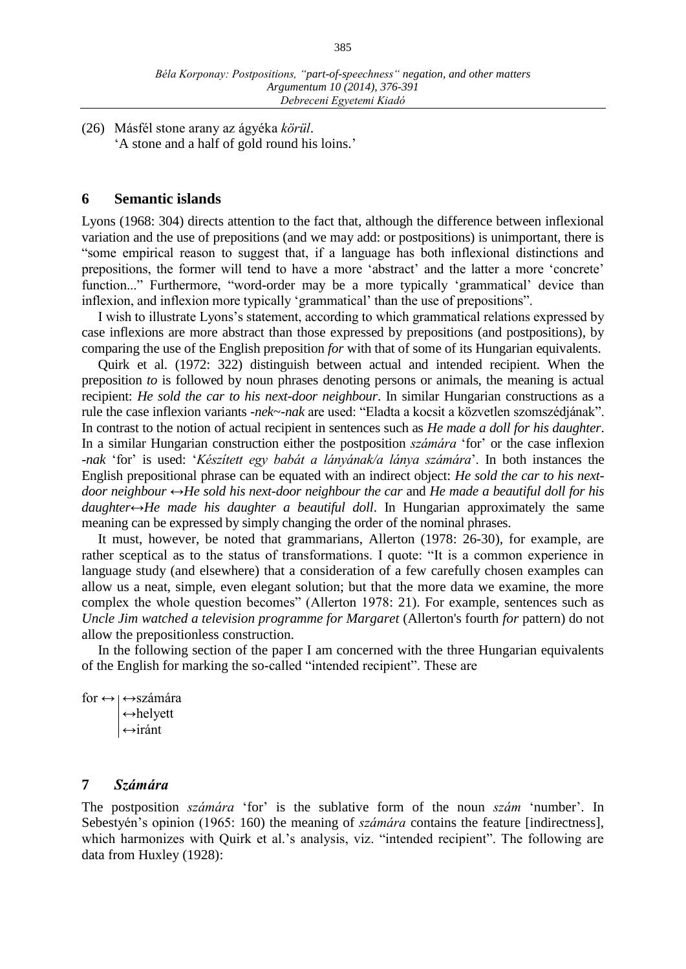(26) Másfél stone arany az ágyéka *körül*. 'A stone and a half of gold round his loins.'

### **6 Semantic islands**

Lyons (1968: 304) directs attention to the fact that, although the difference between inflexional variation and the use of prepositions (and we may add: or postpositions) is unimportant, there is "some empirical reason to suggest that, if a language has both inflexional distinctions and prepositions, the former will tend to have a more 'abstract' and the latter a more 'concrete' function..." Furthermore, "word-order may be a more typically 'grammatical' device than inflexion, and inflexion more typically 'grammatical' than the use of prepositions".

I wish to illustrate Lyons's statement, according to which grammatical relations expressed by case inflexions are more abstract than those expressed by prepositions (and postpositions), by comparing the use of the English preposition *for* with that of some of its Hungarian equivalents.

Quirk et al. (1972: 322) distinguish between actual and intended recipient. When the preposition *to* is followed by noun phrases denoting persons or animals, the meaning is actual recipient: *He sold the car to his next-door neighbour*. In similar Hungarian constructions as a rule the case inflexion variants -*nek*~-*nak* are used: "Eladta a kocsit a közvetlen szomszédjának". In contrast to the notion of actual recipient in sentences such as *He made a doll for his daughter*. In a similar Hungarian construction either the postposition *számára* 'for' or the case inflexion -*nak* 'for' is used: '*Készített egy babát a lányának/a lánya számára*'. In both instances the English prepositional phrase can be equated with an indirect object: *He sold the car to his nextdoor neighbour* ↔*He sold his next-door neighbour the car* and *He made a beautiful doll for his daughter*↔*He made his daughter a beautiful doll*. In Hungarian approximately the same meaning can be expressed by simply changing the order of the nominal phrases.

It must, however, be noted that grammarians, Allerton (1978: 26-30), for example, are rather sceptical as to the status of transformations. I quote: "It is a common experience in language study (and elsewhere) that a consideration of a few carefully chosen examples can allow us a neat, simple, even elegant solution; but that the more data we examine, the more complex the whole question becomes" (Allerton 1978: 21). For example, sentences such as *Uncle Jim watched a television programme for Margaret* (Allerton's fourth *for* pattern) do not allow the prepositionless construction.

In the following section of the paper I am concerned with the three Hungarian equivalents of the English for marking the so-called "intended recipient". These are

for  $\leftrightarrow$   $\leftrightarrow$ számára ↔helyett ↔iránt

#### **7** *Számára*

The postposition *számára* 'for' is the sublative form of the noun *szám* 'number'. In Sebestyén's opinion (1965: 160) the meaning of *számára* contains the feature [indirectness], which harmonizes with Quirk et al.'s analysis, viz. "intended recipient". The following are data from Huxley (1928):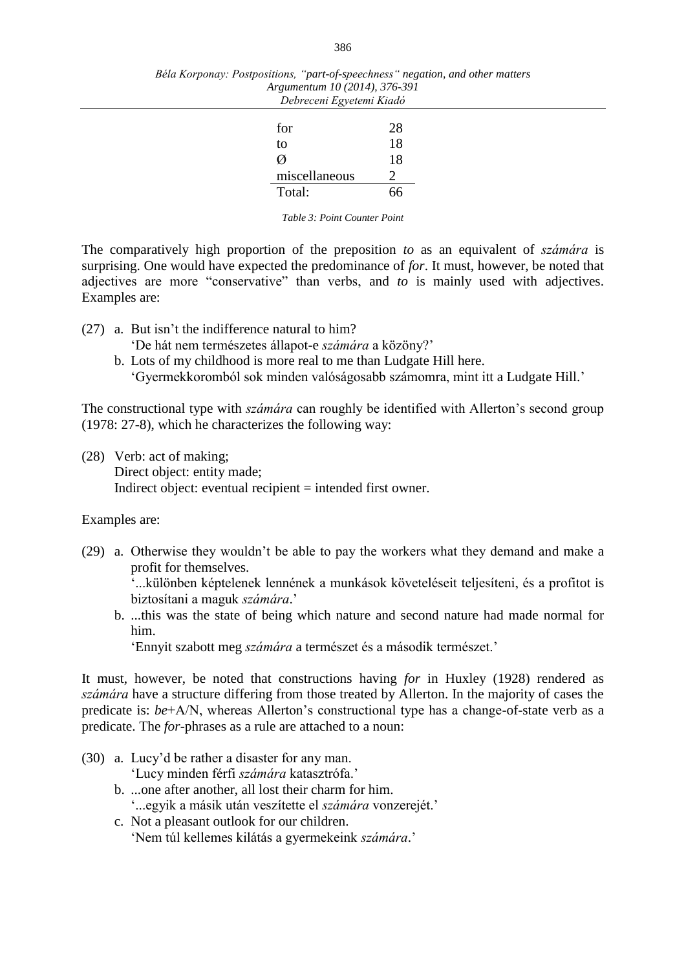| Béla Korponay: Postpositions, "part-of-speechness" negation, and other matters |  |  |
|--------------------------------------------------------------------------------|--|--|
| Argumentum 10 (2014), 376-391                                                  |  |  |
| Debreceni Egyetemi Kiadó                                                       |  |  |

| for           | 28 |
|---------------|----|
| to            | 18 |
| N             | 18 |
| miscellaneous |    |
| Total:        | 66 |

*Table 3: Point Counter Point*

The comparatively high proportion of the preposition *to* as an equivalent of *számára* is surprising. One would have expected the predominance of *for*. It must, however, be noted that adjectives are more "conservative" than verbs, and *to* is mainly used with adjectives. Examples are:

- (27) a. But isn't the indifference natural to him? 'De hát nem természetes állapot-e *számára* a közöny?'
	- b. Lots of my childhood is more real to me than Ludgate Hill here. 'Gyermekkoromból sok minden valóságosabb számomra, mint itt a Ludgate Hill.'

The constructional type with *számára* can roughly be identified with Allerton's second group (1978: 27-8), which he characterizes the following way:

(28) Verb: act of making; Direct object: entity made; Indirect object: eventual recipient = intended first owner.

#### Examples are:

(29) a. Otherwise they wouldn't be able to pay the workers what they demand and make a profit for themselves.

'...különben képtelenek lennének a munkások követeléseit teljesíteni, és a profitot is biztosítani a maguk *számára*.'

b. ...this was the state of being which nature and second nature had made normal for him.

'Ennyit szabott meg *számára* a természet és a második természet.'

It must, however, be noted that constructions having *for* in Huxley (1928) rendered as *számára* have a structure differing from those treated by Allerton. In the majority of cases the predicate is: *be*+A/N, whereas Allerton's constructional type has a change-of-state verb as a predicate. The *for*-phrases as a rule are attached to a noun:

(30) a. Lucy'd be rather a disaster for any man.

'Lucy minden férfi *számára* katasztrófa.'

- b. ...one after another, all lost their charm for him. '...egyik a másik után veszítette el *számára* vonzerejét.'
- c. Not a pleasant outlook for our children. 'Nem túl kellemes kilátás a gyermekeink *számára*.'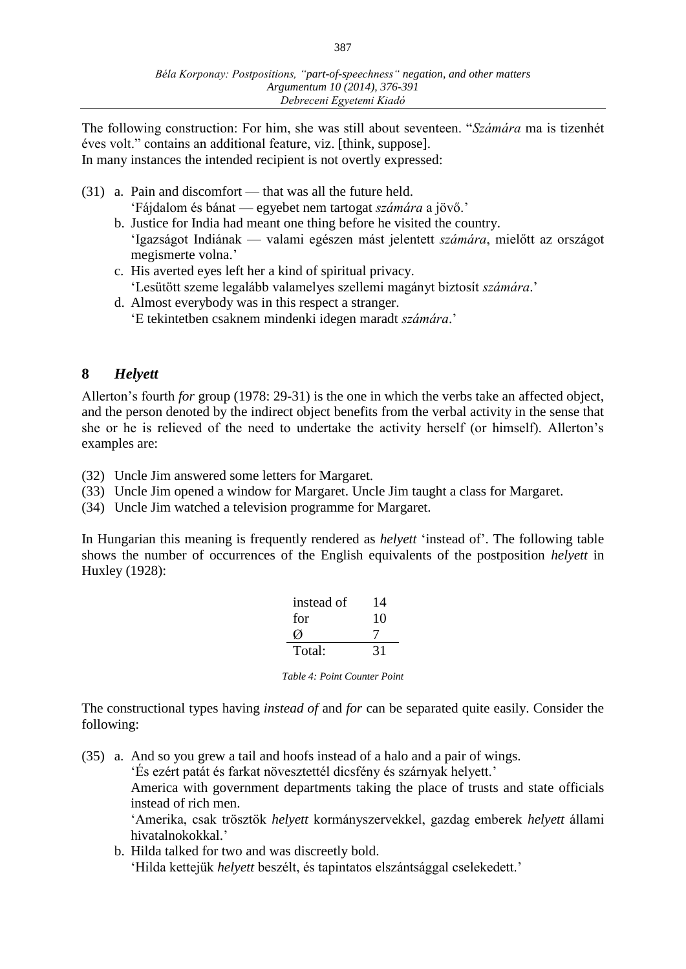387

The following construction: For him, she was still about seventeen. "*Számára* ma is tizenhét éves volt." contains an additional feature, viz. [think, suppose]. In many instances the intended recipient is not overtly expressed:

- (31) a. Pain and discomfort that was all the future held. 'Fájdalom és bánat — egyebet nem tartogat *számára* a jövő.'
	- b. Justice for India had meant one thing before he visited the country. 'Igazságot Indiának — valami egészen mást jelentett *számára*, mielőtt az országot megismerte volna.'
	- c. His averted eyes left her a kind of spiritual privacy. 'Lesütött szeme legalább valamelyes szellemi magányt biztosít *számára*.'
	- d. Almost everybody was in this respect a stranger. 'E tekintetben csaknem mindenki idegen maradt *számára*.'

# **8** *Helyett*

Allerton's fourth *for* group (1978: 29-31) is the one in which the verbs take an affected object, and the person denoted by the indirect object benefits from the verbal activity in the sense that she or he is relieved of the need to undertake the activity herself (or himself). Allerton's examples are:

- (32) Uncle Jim answered some letters for Margaret.
- (33) Uncle Jim opened a window for Margaret. Uncle Jim taught a class for Margaret.
- (34) Uncle Jim watched a television programme for Margaret.

In Hungarian this meaning is frequently rendered as *helyett* 'instead of'. The following table shows the number of occurrences of the English equivalents of the postposition *helyett* in Huxley (1928):

| instead of | 14 |
|------------|----|
| for        | 10 |
| M          |    |
| Total:     | 31 |

*Table 4: Point Counter Point*

The constructional types having *instead of* and *for* can be separated quite easily. Consider the following:

(35) a. And so you grew a tail and hoofs instead of a halo and a pair of wings.

'És ezért patát és farkat növesztettél dicsfény és szárnyak helyett.'

America with government departments taking the place of trusts and state officials instead of rich men.

'Amerika, csak trösztök *helyett* kormányszervekkel, gazdag emberek *helyett* állami hivatalnokokkal.'

b. Hilda talked for two and was discreetly bold. 'Hilda kettejük *helyett* beszélt, és tapintatos elszántsággal cselekedett.'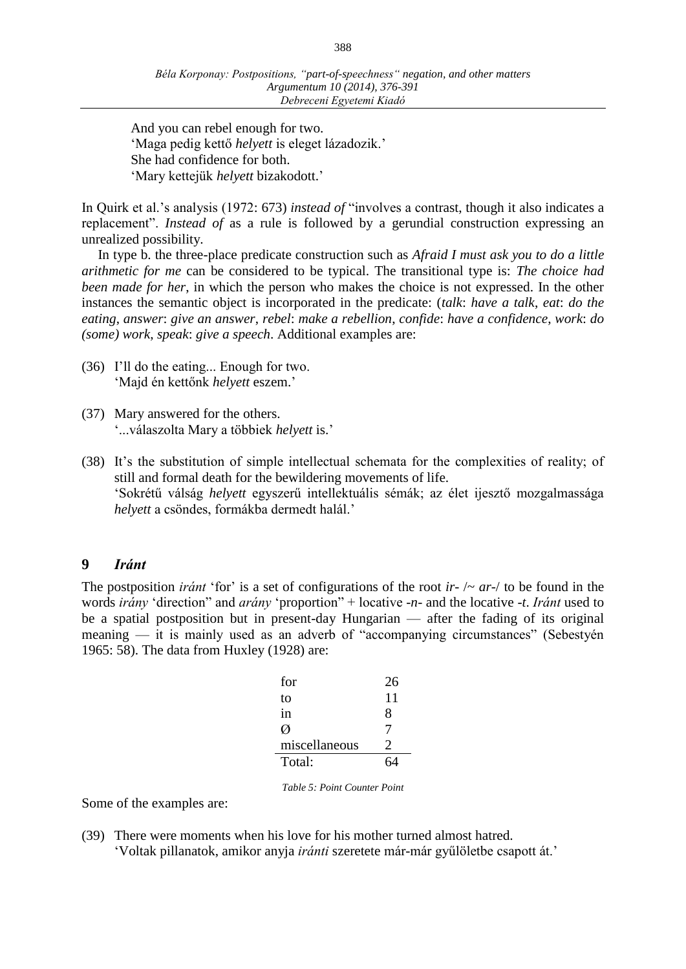And you can rebel enough for two. 'Maga pedig kettő *helyett* is eleget lázadozik.' She had confidence for both. 'Mary kettejük *helyett* bizakodott.'

In Quirk et al.'s analysis (1972: 673) *instead of* "involves a contrast, though it also indicates a replacement". *Instead of* as a rule is followed by a gerundial construction expressing an unrealized possibility.

In type b. the three-place predicate construction such as *Afraid I must ask you to do a little arithmetic for me* can be considered to be typical. The transitional type is: *The choice had been made for her*, in which the person who makes the choice is not expressed. In the other instances the semantic object is incorporated in the predicate: (*talk*: *have a talk*, *eat*: *do the eating*, *answer*: *give an answer*, *rebel*: *make a rebellion*, *confide*: *have a confidence*, *work*: *do (some) work*, *speak*: *give a speech*. Additional examples are:

- (36) I'll do the eating... Enough for two. 'Majd én kettőnk *helyett* eszem.'
- (37) Mary answered for the others. '...válaszolta Mary a többiek *helyett* is.'
- (38) It's the substitution of simple intellectual schemata for the complexities of reality; of still and formal death for the bewildering movements of life. 'Sokrétű válság *helyett* egyszerű intellektuális sémák; az élet ijesztő mozgalmassága *helyett* a csöndes, formákba dermedt halál.'

## **9** *Iránt*

The postposition *iránt* 'for' is a set of configurations of the root *ir*- /~ *ar*-/ to be found in the words *irány* 'direction" and *arány* 'proportion" + locative -*n*- and the locative -*t*. *Iránt* used to be a spatial postposition but in present-day Hungarian — after the fading of its original meaning — it is mainly used as an adverb of "accompanying circumstances" (Sebestyén 1965: 58). The data from Huxley (1928) are:

| for           | 26 |
|---------------|----|
| to            | 11 |
| in            | 8  |
| N             |    |
| miscellaneous | 2  |
| Total:        | 64 |

*Table 5: Point Counter Point*

Some of the examples are:

(39) There were moments when his love for his mother turned almost hatred. 'Voltak pillanatok, amikor anyja *iránti* szeretete már-már gyűlöletbe csapott át.'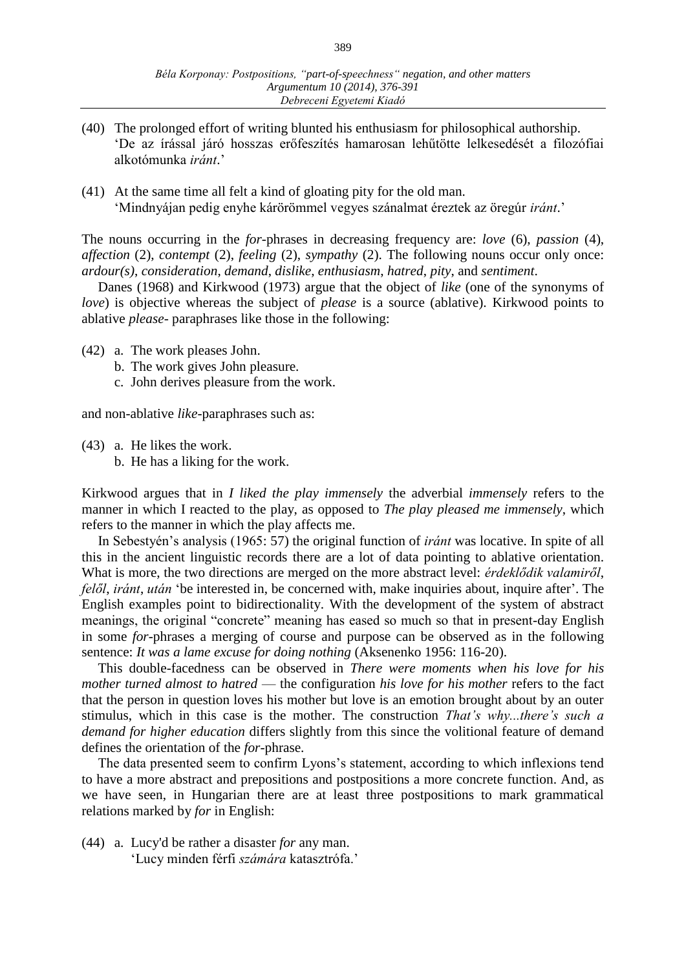- (40) The prolonged effort of writing blunted his enthusiasm for philosophical authorship. 'De az írással járó hosszas erőfeszítés hamarosan lehűtötte lelkesedését a filozófiai alkotómunka *iránt*.'
- (41) At the same time all felt a kind of gloating pity for the old man. 'Mindnyájan pedig enyhe kárörömmel vegyes szánalmat éreztek az öregúr *iránt*.'

The nouns occurring in the *for*-phrases in decreasing frequency are: *love* (6), *passion* (4), *affection* (2), *contempt* (2), *feeling* (2), *sympathy* (2). The following nouns occur only once: *ardour(s)*, *consideration*, *demand*, *dislike*, *enthusiasm*, *hatred*, *pity*, and *sentiment*.

Danes (1968) and Kirkwood (1973) argue that the object of *like* (one of the synonyms of *love*) is objective whereas the subject of *please* is a source (ablative). Kirkwood points to ablative *please*- paraphrases like those in the following:

- (42) a. The work pleases John.
	- b. The work gives John pleasure.
	- c. John derives pleasure from the work.

and non-ablative *like*-paraphrases such as:

- (43) a. He likes the work.
	- b. He has a liking for the work.

Kirkwood argues that in *I liked the play immensely* the adverbial *immensely* refers to the manner in which I reacted to the play, as opposed to *The play pleased me immensely*, which refers to the manner in which the play affects me.

In Sebestyén's analysis (1965: 57) the original function of *iránt* was locative. In spite of all this in the ancient linguistic records there are a lot of data pointing to ablative orientation. What is more, the two directions are merged on the more abstract level: *érdeklődik valamiről*, *felől*, *iránt*, *után* 'be interested in, be concerned with, make inquiries about, inquire after'. The English examples point to bidirectionality. With the development of the system of abstract meanings, the original "concrete" meaning has eased so much so that in present-day English in some *for*-phrases a merging of course and purpose can be observed as in the following sentence: *It was a lame excuse for doing nothing* (Aksenenko 1956: 116-20).

This double-facedness can be observed in *There were moments when his love for his mother turned almost to hatred* — the configuration *his love for his mother* refers to the fact that the person in question loves his mother but love is an emotion brought about by an outer stimulus, which in this case is the mother. The construction *That's why...there's such a demand for higher education* differs slightly from this since the volitional feature of demand defines the orientation of the *for*-phrase.

The data presented seem to confirm Lyons's statement, according to which inflexions tend to have a more abstract and prepositions and postpositions a more concrete function. And, as we have seen, in Hungarian there are at least three postpositions to mark grammatical relations marked by *for* in English:

(44) a. Lucy'd be rather a disaster *for* any man. 'Lucy minden férfi *számára* katasztrófa.'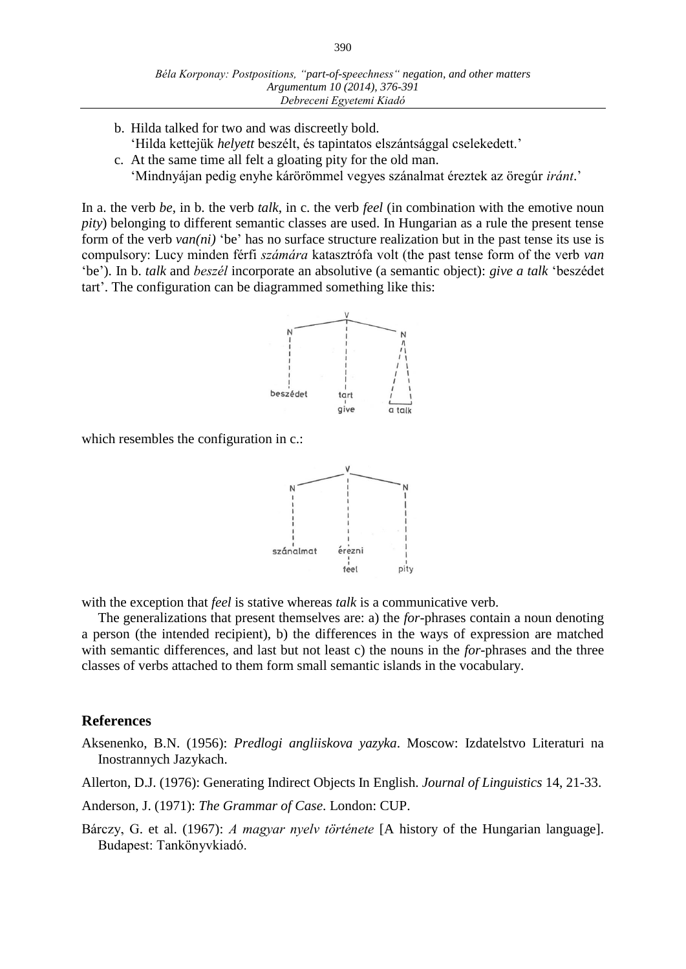- b. Hilda talked for two and was discreetly bold. 'Hilda kettejük *helyett* beszélt, és tapintatos elszántsággal cselekedett.'
- c. At the same time all felt a gloating pity for the old man. 'Mindnyájan pedig enyhe kárörömmel vegyes szánalmat éreztek az öregúr *iránt*.'

In a. the verb *be*, in b. the verb *talk*, in c. the verb *feel* (in combination with the emotive noun *pity*) belonging to different semantic classes are used. In Hungarian as a rule the present tense form of the verb *van(ni)* 'be' has no surface structure realization but in the past tense its use is compulsory: Lucy minden férfi *számára* katasztrófa volt (the past tense form of the verb *van* 'be'). In b. *talk* and *beszél* incorporate an absolutive (a semantic object): *give a talk* 'beszédet tart'. The configuration can be diagrammed something like this:



which resembles the configuration in c.:



with the exception that *feel* is stative whereas *talk* is a communicative verb.

The generalizations that present themselves are: a) the *for*-phrases contain a noun denoting a person (the intended recipient), b) the differences in the ways of expression are matched with semantic differences, and last but not least c) the nouns in the *for*-phrases and the three classes of verbs attached to them form small semantic islands in the vocabulary.

#### **References**

Aksenenko, B.N. (1956): *Predlogi angliiskova yazyka*. Moscow: Izdatelstvo Literaturi na Inostrannych Jazykach.

Allerton, D.J. (1976): Generating Indirect Objects In English. *Journal of Linguistics* 14, 21-33.

Anderson, J. (1971): *The Grammar of Case*. London: CUP.

Bárczy, G. et al. (1967): *A magyar nyelv története* [A history of the Hungarian language]. Budapest: Tankönyvkiadó.